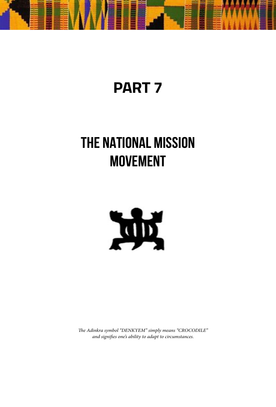

# **PART 7**

# **THE NATIONAL MISSION MOVEMENT**



*The Adinkra symbol "DENKYEM" simply means "CROCODILE" and signifies one's ability to adapt to circumstances.*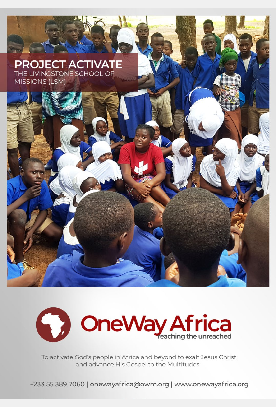### **PROJECT ACTIVATE** THE LIVINGSTONE SCHOOL OF **MISSIONS (LSM)**

**96 Ghana Missions Handbook** – Past. Present. Future.



To activate God's people in Africa and beyond to exalt Jesus Christ and advance His Gospel to the Multitudes.

+233 55 389 7060 | onewayafrica@owm.org | www.onewayafrica.org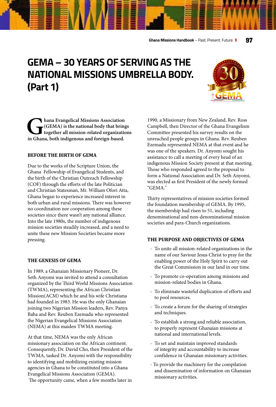## **GEMA – 30 YEARS OF SERVING AS THE NATIONAL MISSIONS UMBRELLA BODY. (Part 1)**



**GEMA)** is the national body that bring together all mission-related organization Ghana, both indigenous and foreign-based. **(GEMA) is the national body that brings together all mission-related organizations in Ghana, both indigenous and foreign-based.**

#### **BEFORE THE BIRTH OF GEMA**

Due to the works of the Scripture Union, the Ghana Fellowship of Evangelical Students, and the birth of the Christian Outreach Fellowship (COF) through the efforts of the late Politician and Christian Statesman, Mr. William Ofori Atta, Ghana began to experience increased interest in both urban and rural missions. There was however no coordination nor cooperation among these societies since there wasn't any national alliance. Into the late 1980s, the number of indigenous mission societies steadily increased, and a need to unite these new Mission Societies became more pressing.

#### **THE GENESIS OF GEMA**

In 1989, a Ghanaian Missionary Pioneer, Dr. Seth Anyomi was invited to attend a consultation organized by the Third World Missions Association (TWMA), representing the African Christian Mission(ACM) which he and his wife Christiana had founded in 1983. He was the only Ghanaian joining two Nigerian Mission leaders, Rev. Panya Baba and Rev. Reuben Ezemadu who represented the Nigerian Evangelical Missions Association (NEMA) at this maiden TWMA meeting.

At that time, NEMA was the only African missionary association on the African continent. Consequently, Dr. David Cho, then President of the TWMA, tasked Dr. Anyomi with the responsibility to identifying and mobilizing existing mission agencies in Ghana to be constituted into a Ghana Evangelical Missions Association (GEMA). The opportunity came, when a few months later in

1990, a Missionary from New Zealand, Rev. Ross Campbell, then Director of the Ghana Evangelism Committee presented his survey results on the unreached people groups in Ghana. Rev. Reuben Ezemadu represented NEMA at that event and he was one of the speakers. Dr. Anyomi sought his assistance to call a meeting of every head of an indigenous Mission Society present at that meeting. Those who responded agreed to the proposal to form a National Association and Dr. Seth Anyomi, was elected as first President of the newly formed "GEMA."

Thirty representatives of mission societies formed the foundation membership of GEMA. By 1995, the membership had risen to 51, including denominational and non-denominational mission societies and para-Church organizations.

#### **THE PURPOSE AND OBJECTIVES OF GEMA**

- To unite all mission-related organizations in the name of our Saviour Jesus Christ to pray for the enabling power of the Holy Spirit to carry out the Great Commission in our land in our time.
- To promote co-operation among missions and mission-related bodies in Ghana.
- To eliminate wasteful duplication of efforts and to pool resources.
- To create a forum for the sharing of strategies and techniques.
- To establish a strong and reliable association, to properly represent Ghanaian missions at national and international levels.
- To set and maintain improved standards of integrity and accountability to increase confidence in Ghanaian missionary activities.
- To provide the machinery for the compilation and dissemination of information on Ghanaian missionary activities.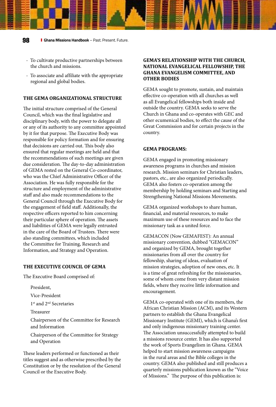- To cultivate productive partnerships between the church and missions.
- To associate and affiliate with the appropriate regional and global bodies.

#### **THE GEMA ORGANIZATIONAL STRUCTURE**

The initial structure comprised of the General Council, which was the final legislative and disciplinary body, with the power to delegate all or any of its authority to any committee appointed by it for that purpose. The Executive Body was responsible for policy formation and for ensuring that decisions are carried out. This body also ensured that regular meetings are held and that the recommendations of such meetings are given due consideration. The day-to-day administration of GEMA rested on the General Co-coordinator, who was the Chief Administrative Officer of the Association. He was fully responsible for the structure and employment of the administrative staff and also made recommendations to the General Council through the Executive Body for the engagement of field staff. Additionally, the respective officers reported to him concerning their particular sphere of operation. The assets and liabilities of GEMA were legally entrusted in the care of the Board of Trustees. There were also standing committees, which included the Committee for Training, Research and Information, and Strategy and Operation.

#### **THE EXECUTIVE COUNCIL OF GEMA**

The Executive Board comprised of:

President,

Vice-President

1<sup>st</sup> and 2<sup>nd</sup> Secretaries

Treasurer

Chairperson of the Committee for Research and Information

Chairperson of the Committee for Strategy and Operation

These leaders performed or functioned as their titles suggest and as otherwise prescribed by the Constitution or by the resolution of the General Council or the Executive Body.

#### **GEMA'S RELATIONSHIP WITH THE CHURCH, NATIONAL EVANGELICAL FELLOWSHIP, THE GHANA EVANGELISM COMMITTEE, AND OTHER BODIES**

GEMA sought to promote, sustain, and maintain effective co-operation with all churches as well as all Evangelical fellowships both inside and outside the country. GEMA seeks to serve the Church in Ghana and co-operates with GEC and other ecumenical bodies, to effect the cause of the Great Commission and for certain projects in the country.

#### **GEMA PROGRAMS:**

GEMA engaged in promoting missionary awareness programs in churches and mission research. Mission seminars for Christian leaders, pastors, etc., are also organized periodically. GEMA also fosters co-operation among the membership by holding seminars and Starting and Strengthening National Missions Movements.

GEMA organized workshops to share human, financial, and material resources, to make maximum use of these resources and to face the missionary task as a united force.

GEMACON (Now GEMAFEST): An annual missionary convention, dubbed "GEMACON" and organized by GEMA, brought together missionaries from all over the country for fellowship, sharing of ideas, evaluation of mission strategies, adoption of new ones, etc. It is a time of great refreshing for the missionaries, some of whom come from very distant mission fields, where they receive little information and encouragement.

GEMA co-operated with one of its members, the African Christian Mission (ACM), and its Western partners to establish the Ghana Evangelical Missionary Institute (GEMI), which is Ghana's first and only indigenous missionary training center. The Association unsuccessfully attempted to build a missions resource center. It has also supported the work of Sports Evangelism in Ghana. GEMA helped to start mission awareness campaigns in the rural areas and the Bible colleges in the country. GEMA also published and still produces a quarterly missions publication known as the "Voice of Missions." The purpose of this publication is: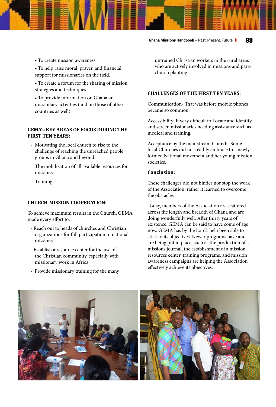• To create mission awareness.

• To help raise moral, prayer, and financial support for missionaries on the field.

• To create a forum for the sharing of mission strategies and techniques.

• To provide information on Ghanaian missionary activities (and on those of other countries as well).

#### **GEMA's KEY AREAS OF FOCUS DURING THE FIRST TEN YEARS:**

- Motivating the local church to rise to the challenge of reaching the unreached people groups in Ghana and beyond.
- The mobilization of all available resources for missions.
- Training.

#### **CHURCH-MISSION COOPERATION:**

To achieve maximum results in the Church, GEMA made every effort to:

- Reach out to heads of churches and Christian organizations for full participation in national missions.
- Establish a resource center for the use of the Christian community, especially with missionary work in Africa.
- Provide missionary training for the many

untrained Christian workers in the rural areas who are actively involved in missions and parachurch planting.

#### **CHALLENGES OF THE FIRST TEN YEARS:**

Communication- That was before mobile phones became so common.

Accessibility: It very difficult to Locate and identify and screen missionaries needing assistance such as medical and training.

Acceptance by the mainstream Church- Some local Churches did not readily embrace this newly formed National movement and her young mission societies.

#### **Conclusion:**

These challenges did not hinder nor stop the work of the Association; rather it learned to overcome the obstacles.

Today, members of the Association are scattered across the length and breadth of Ghana and are doing wonderfully well. After thirty years of existence, GEMA can be said to have come of age now. GEMA has by the Lord's help been able to stick to its objectives. Newer programs have and are being put in place, such as the production of a missions journal, the establishment of a mission resources center, training programs, and mission awareness campaigns are helping the Association effectively achieve its objectives.



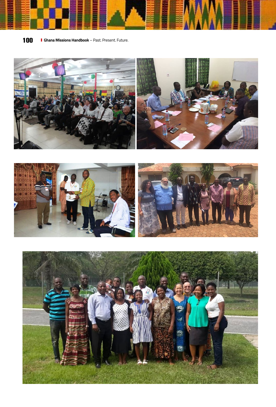





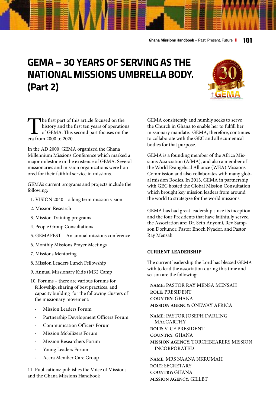## **GEMA – 30 YEARS OF SERVING AS THE NATIONAL MISSIONS UMBRELLA BODY. (Part 2)**



The first part of this article focused on the history and the first ten years of operation of GEMA. This second part focuses on thera from 2000 to 2020. history and the first ten years of operations of GEMA. This second part focuses on the era from 2000 to 2020.

In the AD 2000, GEMA organized the Ghana Millennium Missions Conference which marked a major milestone in the existence of GEMA. Several missionaries and mission organizations were honored for their faithful service in missions.

GEMA's current programs and projects include the following:

- 1. VISION 2040 a long term mission vision
- 2. Mission Research
- 3. Mission Training programs
- 4. People Group Consultations
- 5. GEMAFEST An annual missions conference
- 6. Monthly Missions Prayer Meetings
- 7. Missions Mentoring
- 8. Mission Leaders Lunch Fellowship
- 9. Annual Missionary Kid's (MK) Camp
- 10. Forums there are various forums for fellowship, sharing of best practices, and capacity building for the following clusters of the missionary movement:
	- **Mission Leaders Forum**
	- Partnership Development Officers Forum
	- Communication Officers Forum
	- · Mission Mobilizers Forum
	- Mission Researchers Forum
	- Young Leaders Forum
	- Accra Member Care Group

11. Publications: publishes the Voice of Missions and the Ghana Missions Handbook

GEMA consistently and humbly seeks to serve the Church in Ghana to enable her to fulfill her missionary mandate. GEMA, therefore, continues to collaborate with the GEC and all ecumenical bodies for that purpose.

GEMA is a founding member of the Africa Missions Association (AfMA), and also a member of the World Evangelical Alliance (WEA) Missions Commission and also collaborates with many global mission Bodies. In 2013, GEMA in partnership with GEC hosted the Global Mission Consultation which brought key mission leaders from around the world to strategize for the world missions.

GEMA has had great leadership since its inception and the four Presidents that have faithfully served the Association are; Dr. Seth Anyomi, Rev Sampson Dorkunor, Pastor Enoch Nyador, and Pastor Ray Mensah

#### **CURRENT LEADERSHIP**

The current leadership the Lord has blessed GEMA with to lead the association during this time and season are the following:

**NAME:** PASTOR RAY MENSA MENSAH **ROLE:** PRESIDENT **COUNTRY:** GHANA **MISSION AGENCY:** ONEWAY AFRICA

**NAME:** PASTOR JOSEPH DARLING MACCARTHY **ROLE:** VICE PRESIDENT **COUNTRY:** GHANA **MISSION AGENCY:** TORCHBEARERS MISSION INCORPORATED

**NAME:** MRS NAANA NKRUMAH **ROLE:** SECRETARY **COUNTRY:** GHANA **MISSION AGENCY:** GILLBT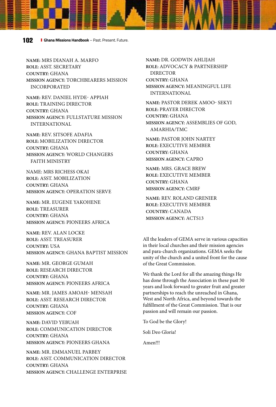**NAME:** MRS DIANAH A. MARFO **ROLE:** ASST. SECRETARY **COUNTRY:** GHANA **MISSION AGENCY:** TORCHBEARERS MISSION INCORPORATED

**NAME:** REV. DANIEL HYDE- APPIAH **ROLE:** TRAINING DIRECTOR **COUNTRY:** GHANA **MISSION AGENCY:** FULLSTATURE MISSION INTERNATIONAL

**NAME:** REV. SITSOFE ADAFIA **ROLE:** MOBILIZATION DIRECTOR **COUNTRY:** GHANA **MISSION AGENCY:** WORLD CHANGERS FAITH MINISTRY

NAME: MRS RICHESS OKAI **ROLE:** ASST. MOBILIZATION **COUNTRY:** GHANA **MISSION AGENCY:** OPERATION SERVE

**NAME:** MR. EUGENE YAKOHENE **ROLE:** TREASURER **COUNTRY:** GHANA **MISSION AGENCY:** PIONEERS AFRICA

**NAME:** REV. ALAN LOCKE **ROLE:** ASST. TREASURER **COUNTRY:** USA **MISSION AGENCY:** GHANA BAPTIST MISSION

**NAME:** MR. GEORGE GUMAH **ROLE:** RESEARCH DIRECTOR **COUNTRY:** GHANA **MISSION AGENCY:** PIONEERS AFRICA

**NAME:** MR. JAMES AMOAH- MENSAH **ROLE:** ASST. RESEARCH DIRECTOR **COUNTRY:** GHANA **MISSION AGENCY:** COF

**NAME:** DAVID YEBUAH **ROLE:** COMMUNICATION DIRECTOR **COUNTRY:** GHANA **MISSION AGENCY:** PIONEERS GHANA

**NAME:** MR. EMMANUEL PARBEY **ROLE:** ASST. COMMUNICATION DIRECTOR **COUNTRY:** GHANA **MISSION AGENCY:** CHALLENGE ENTERPRISE **NAME:** DR. GODWIN AHLIJAH **ROLE:** ADVOCACY & PARTNERSHIP DIRECTOR **COUNTRY:** GHANA **MISSION AGENCY:** MEANINGFUL LIFE INTERNATIONAL

**NAME:** PASTOR DEREK AMOO- SEKYI **ROLE:** PRAYER DIRECTOR **COUNTRY:** GHANA **MISSION AGENCY:** ASSEMBLIES OF GOD, AMARHIA/TMC

**NAME:** PASTOR JOHN NARTEY **ROLE:** EXECUTIVE MEMBER **COUNTRY:** GHANA **MISSION AGENCY:** CAPRO

**NAME:** MRS. GRACE BREW **ROLE:** EXECUTIVE MEMBER **COUNTRY:** GHANA **MISSION AGENCY:** CMRF

**NAME:** REV. ROLAND GRENIER **ROLE:** EXECUTIVE MEMBER **COUNTRY:** CANADA **MISSION AGENCY:** ACTS13

All the leaders of GEMA serve in various capacities in their local churches and their mission agencies and para-church organizations. GEMA seeks the unity of the church and a united front for the cause of the Great Commission.

We thank the Lord for all the amazing things He has done through the Association in these past 30 years and look forward to greater fruit and greater partnerships to reach the unreached in Ghana, West and North Africa, and beyond towards the fulfillment of the Great Commission. That is our passion and will remain our passion.

To God be the Glory!

Soli Deo Gloria!

Amen!!!